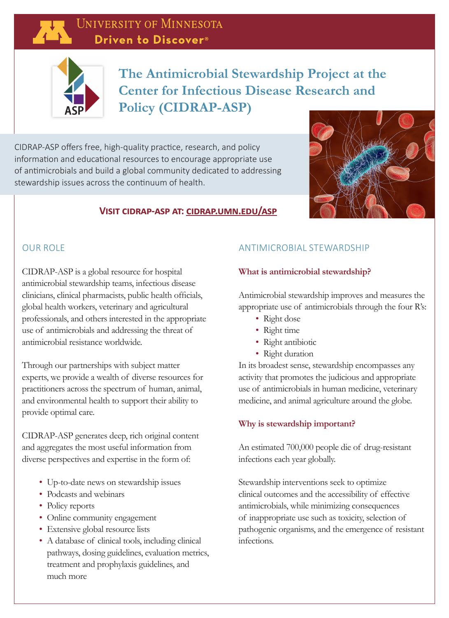# **UNIVERSITY OF MINNESOTA** Driven to Discover<sup>®</sup>



# **The Antimicrobial Stewardship Project at the Center for Infectious Disease Research and Policy (CIDRAP-ASP)**

CIDRAP-ASP offers free, high-quality practice, research, and policy information and educational resources to encourage appropriate use of antimicrobials and build a global community dedicated to addressing stewardship issues across the continuum of health.



## **Visit cidrap-asp at: cidrap.umn.edu/asp**

#### OUR ROLE

CIDRAP-ASP is a global resource for hospital antimicrobial stewardship teams, infectious disease clinicians, clinical pharmacists, public health officials, global health workers, veterinary and agricultural professionals, and others interested in the appropriate use of antimicrobials and addressing the threat of antimicrobial resistance worldwide.

Through our partnerships with subject matter experts, we provide a wealth of diverse resources for practitioners across the spectrum of human, animal, and environmental health to support their ability to provide optimal care.

CIDRAP-ASP generates deep, rich original content and aggregates the most useful information from diverse perspectives and expertise in the form of:

- Up-to-date news on stewardship issues
- Podcasts and webinars
- Policy reports
- Online community engagement
- Extensive global resource lists
- A database of clinical tools, including clinical pathways, dosing guidelines, evaluation metrics, treatment and prophylaxis guidelines, and much more

## ANTIMICROBIAL STEWARDSHIP

## **What is antimicrobial stewardship?**

Antimicrobial stewardship improves and measures the appropriate use of antimicrobials through the four R's:

- Right dose
- Right time
- Right antibiotic
- Right duration

In its broadest sense, stewardship encompasses any activity that promotes the judicious and appropriate use of antimicrobials in human medicine, veterinary medicine, and animal agriculture around the globe.

## **Why is stewardship important?**

An estimated 700,000 people die of drug-resistant infections each year globally.

Stewardship interventions seek to optimize clinical outcomes and the accessibility of effective antimicrobials, while minimizing consequences of inappropriate use such as toxicity, selection of pathogenic organisms, and the emergence of resistant infections.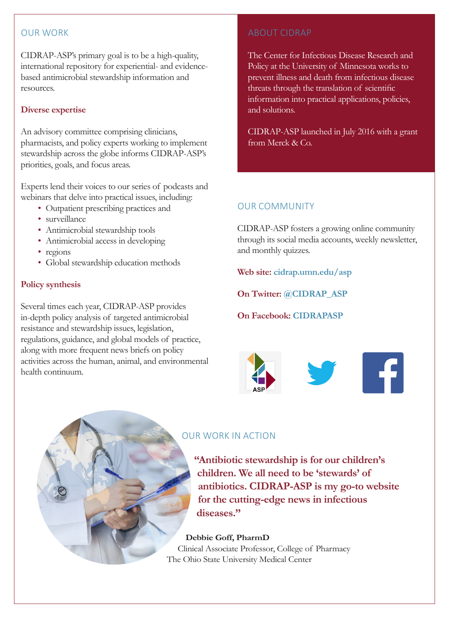## OUR WORK

CIDRAP-ASP's primary goal is to be a high-quality, international repository for experiential- and evidencebased antimicrobial stewardship information and resources.

## **Diverse expertise**

An advisory committee comprising clinicians, pharmacists, and policy experts working to implement stewardship across the globe informs CIDRAP-ASP's priorities, goals, and focus areas.

Experts lend their voices to our series of podcasts and webinars that delve into practical issues, including:

- Outpatient prescribing practices and
- surveillance
- Antimicrobial stewardship tools
- Antimicrobial access in developing
- regions
- Global stewardship education methods

#### **Policy synthesis**

Several times each year, CIDRAP-ASP provides in-depth policy analysis of targeted antimicrobial resistance and stewardship issues, legislation, regulations, guidance, and global models of practice, along with more frequent news briefs on policy activities across the human, animal, and environmental health continuum.

## ABOUT CIDRAP

The Center for Infectious Disease Research and Policy at the University of Minnesota works to prevent illness and death from infectious disease threats through the translation of scientific information into practical applications, policies, and solutions.

CIDRAP-ASP launched in July 2016 with a grant from Merck & Co.

## OUR COMMUNITY

CIDRAP-ASP fosters a growing online community through its social media accounts, weekly newsletter, and monthly quizzes.

**Web site: cidrap.umn.edu/asp**

**On Twitter: @CIDRAP\_ASP**

## **On Facebook: CIDRAPASP**



## OUR WORK IN ACTION

**"Antibiotic stewardship is for our children's children. We all need to be 'stewards' of antibiotics. CIDRAP-ASP is my go-to website for the cutting-edge news in infectious diseases."**

#### **Debbie Goff, PharmD**

Clinical Associate Professor, College of Pharmacy The Ohio State University Medical Center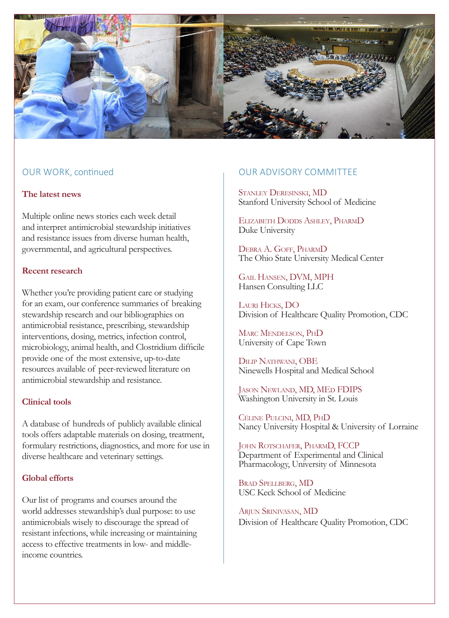

## OUR WORK, continued

#### **The latest news**

Multiple online news stories each week detail and interpret antimicrobial stewardship initiatives and resistance issues from diverse human health, governmental, and agricultural perspectives.

#### **Recent research**

Whether you're providing patient care or studying for an exam, our conference summaries of breaking stewardship research and our bibliographies on antimicrobial resistance, prescribing, stewardship interventions, dosing, metrics, infection control, microbiology, animal health, and Clostridium difficile provide one of the most extensive, up-to-date resources available of peer-reviewed literature on antimicrobial stewardship and resistance.

#### **Clinical tools**

A database of hundreds of publicly available clinical tools offers adaptable materials on dosing, treatment, formulary restrictions, diagnostics, and more for use in diverse healthcare and veterinary settings.

#### **Global efforts**

Our list of programs and courses around the world addresses stewardship's dual purpose: to use antimicrobials wisely to discourage the spread of resistant infections, while increasing or maintaining access to effective treatments in low- and middleincome countries.

#### OUR ADVISORY COMMITTEE

Stanley Deresinski, MD Stanford University School of Medicine

Elizabeth Dodds Ashley, PharmD Duke University

Debra A. Goff, PharmD The Ohio State University Medical Center

Gail Hansen, DVM, MPH Hansen Consulting LLC

Lauri Hicks, DO Division of Healthcare Quality Promotion, CDC

Marc Mendelson, PhD University of Cape Town

Dilip Nathwani, OBE Ninewells Hospital and Medical School

Jason Newland, MD, MEd FDIPS Washington University in St. Louis

Céline Pulcini, MD, PhD Nancy University Hospital & University of Lorraine

John Rotschafer, PharmD, FCCP Department of Experimental and Clinical Pharmacology, University of Minnesota

Brad Spellberg, MD USC Keck School of Medicine

Arjun Srinivasan, MD Division of Healthcare Quality Promotion, CDC